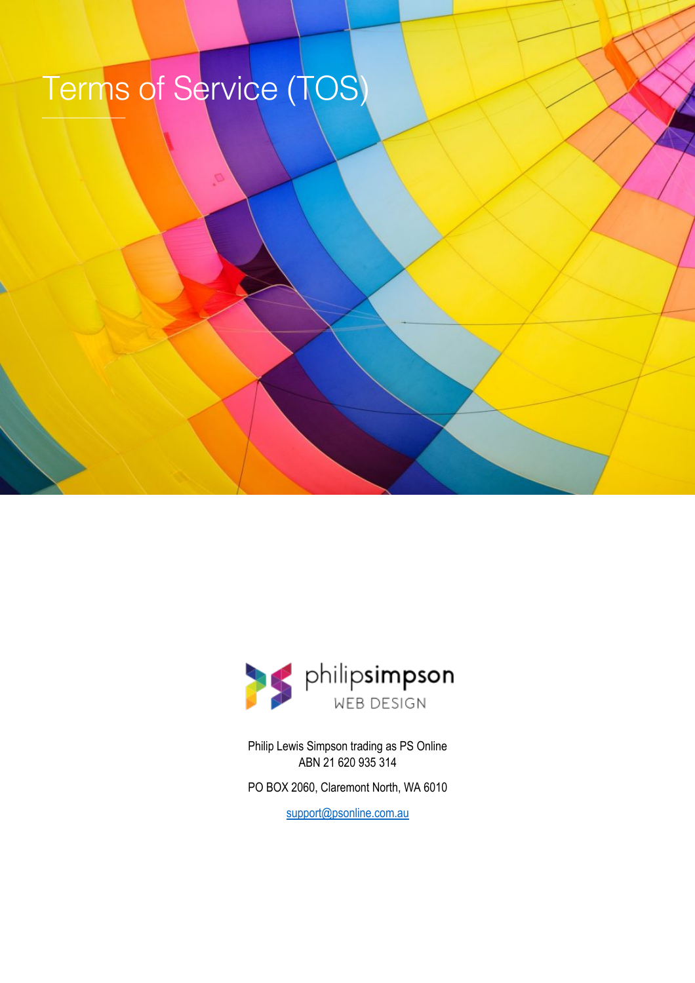# Terms of Service (TOS)  $\mathcal{L}=\mathcal{L}$  , and the set of the set of the set of the set of the set of the set of the set of the set of the set of the set of the set of the set of the set of the set of the set of the set of the set of the set of th



Philip Lewis Simpson trading as PS Online ABN 21 620 935 314

PO BOX 2060, Claremont North, WA 6010

support@psonline.com.au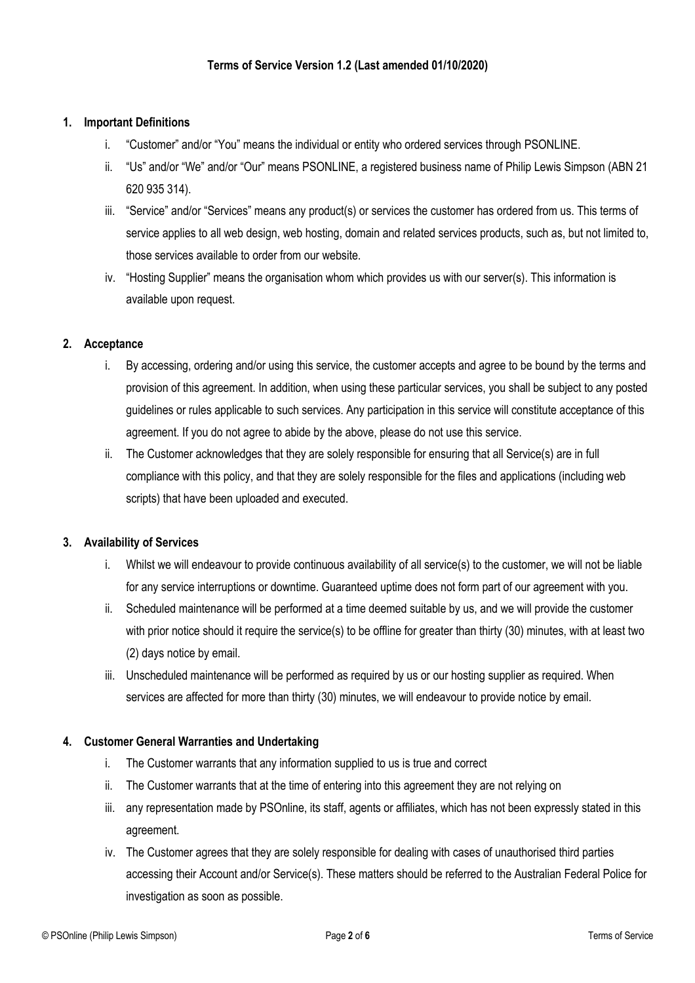#### **1. Important Definitions**

- i. "Customer" and/or "You" means the individual or entity who ordered services through PSONLINE.
- ii. "Us" and/or "We" and/or "Our" means PSONLINE, a registered business name of Philip Lewis Simpson (ABN 21 620 935 314).
- iii. "Service" and/or "Services" means any product(s) or services the customer has ordered from us. This terms of service applies to all web design, web hosting, domain and related services products, such as, but not limited to, those services available to order from our website.
- iv. "Hosting Supplier" means the organisation whom which provides us with our server(s). This information is available upon request.

#### **2. Acceptance**

- i. By accessing, ordering and/or using this service, the customer accepts and agree to be bound by the terms and provision of this agreement. In addition, when using these particular services, you shall be subject to any posted guidelines or rules applicable to such services. Any participation in this service will constitute acceptance of this agreement. If you do not agree to abide by the above, please do not use this service.
- ii. The Customer acknowledges that they are solely responsible for ensuring that all Service(s) are in full compliance with this policy, and that they are solely responsible for the files and applications (including web scripts) that have been uploaded and executed.

#### **3. Availability of Services**

- i. Whilst we will endeavour to provide continuous availability of all service(s) to the customer, we will not be liable for any service interruptions or downtime. Guaranteed uptime does not form part of our agreement with you.
- ii. Scheduled maintenance will be performed at a time deemed suitable by us, and we will provide the customer with prior notice should it require the service(s) to be offline for greater than thirty (30) minutes, with at least two (2) days notice by email.
- iii. Unscheduled maintenance will be performed as required by us or our hosting supplier as required. When services are affected for more than thirty (30) minutes, we will endeavour to provide notice by email.

## **4. Customer General Warranties and Undertaking**

- i. The Customer warrants that any information supplied to us is true and correct
- ii. The Customer warrants that at the time of entering into this agreement they are not relying on
- iii. any representation made by PSOnline, its staff, agents or affiliates, which has not been expressly stated in this agreement.
- iv. The Customer agrees that they are solely responsible for dealing with cases of unauthorised third parties accessing their Account and/or Service(s). These matters should be referred to the Australian Federal Police for investigation as soon as possible.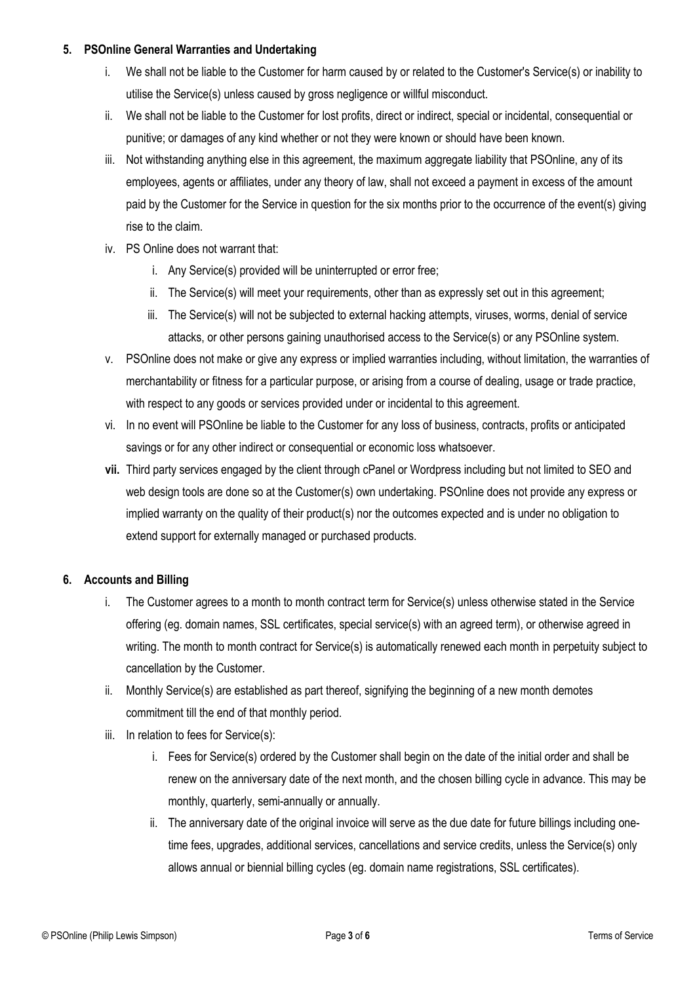#### **5. PSOnline General Warranties and Undertaking**

- i. We shall not be liable to the Customer for harm caused by or related to the Customer's Service(s) or inability to utilise the Service(s) unless caused by gross negligence or willful misconduct.
- ii. We shall not be liable to the Customer for lost profits, direct or indirect, special or incidental, consequential or punitive; or damages of any kind whether or not they were known or should have been known.
- iii. Not withstanding anything else in this agreement, the maximum aggregate liability that PSOnline, any of its employees, agents or affiliates, under any theory of law, shall not exceed a payment in excess of the amount paid by the Customer for the Service in question for the six months prior to the occurrence of the event(s) giving rise to the claim.
- iv. PS Online does not warrant that:
	- i. Any Service(s) provided will be uninterrupted or error free;
	- ii. The Service(s) will meet your requirements, other than as expressly set out in this agreement;
	- iii. The Service(s) will not be subjected to external hacking attempts, viruses, worms, denial of service attacks, or other persons gaining unauthorised access to the Service(s) or any PSOnline system.
- v. PSOnline does not make or give any express or implied warranties including, without limitation, the warranties of merchantability or fitness for a particular purpose, or arising from a course of dealing, usage or trade practice, with respect to any goods or services provided under or incidental to this agreement.
- vi. In no event will PSOnline be liable to the Customer for any loss of business, contracts, profits or anticipated savings or for any other indirect or consequential or economic loss whatsoever.
- **vii.** Third party services engaged by the client through cPanel or Wordpress including but not limited to SEO and web design tools are done so at the Customer(s) own undertaking. PSOnline does not provide any express or implied warranty on the quality of their product(s) nor the outcomes expected and is under no obligation to extend support for externally managed or purchased products.

## **6. Accounts and Billing**

- i. The Customer agrees to a month to month contract term for Service(s) unless otherwise stated in the Service offering (eg. domain names, SSL certificates, special service(s) with an agreed term), or otherwise agreed in writing. The month to month contract for Service(s) is automatically renewed each month in perpetuity subject to cancellation by the Customer.
- ii. Monthly Service(s) are established as part thereof, signifying the beginning of a new month demotes commitment till the end of that monthly period.
- iii. In relation to fees for Service(s):
	- i. Fees for Service(s) ordered by the Customer shall begin on the date of the initial order and shall be renew on the anniversary date of the next month, and the chosen billing cycle in advance. This may be monthly, quarterly, semi-annually or annually.
	- ii. The anniversary date of the original invoice will serve as the due date for future billings including onetime fees, upgrades, additional services, cancellations and service credits, unless the Service(s) only allows annual or biennial billing cycles (eg. domain name registrations, SSL certificates).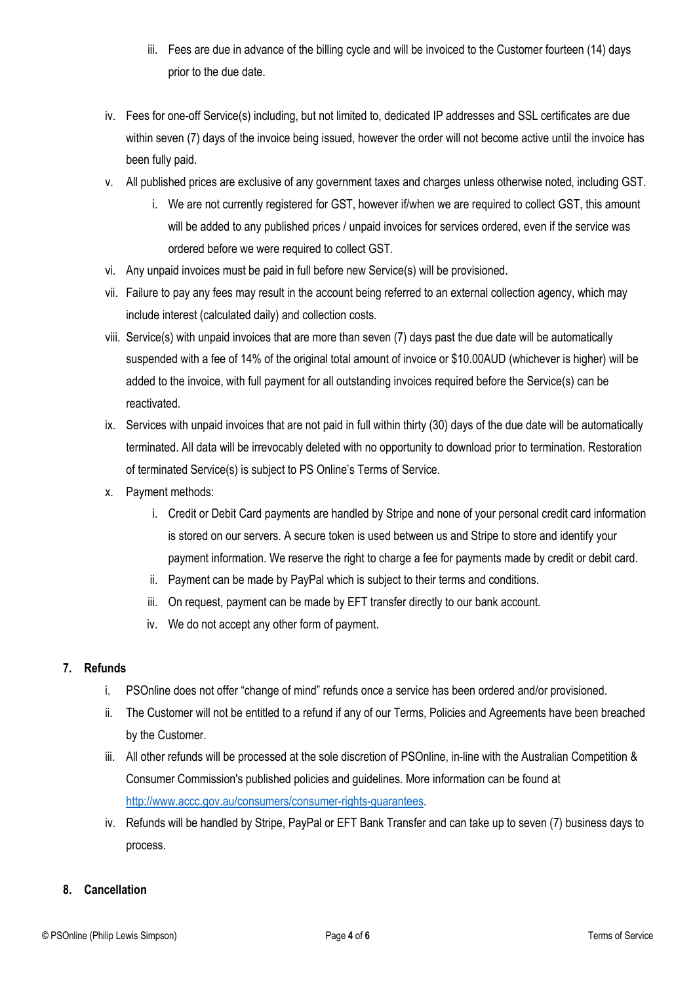- iii. Fees are due in advance of the billing cycle and will be invoiced to the Customer fourteen (14) days prior to the due date.
- iv. Fees for one-off Service(s) including, but not limited to, dedicated IP addresses and SSL certificates are due within seven (7) days of the invoice being issued, however the order will not become active until the invoice has been fully paid.
- v. All published prices are exclusive of any government taxes and charges unless otherwise noted, including GST.
	- i. We are not currently registered for GST, however if/when we are required to collect GST, this amount will be added to any published prices / unpaid invoices for services ordered, even if the service was ordered before we were required to collect GST.
- vi. Any unpaid invoices must be paid in full before new Service(s) will be provisioned.
- vii. Failure to pay any fees may result in the account being referred to an external collection agency, which may include interest (calculated daily) and collection costs.
- viii. Service(s) with unpaid invoices that are more than seven (7) days past the due date will be automatically suspended with a fee of 14% of the original total amount of invoice or \$10.00AUD (whichever is higher) will be added to the invoice, with full payment for all outstanding invoices required before the Service(s) can be reactivated.
- ix. Services with unpaid invoices that are not paid in full within thirty (30) days of the due date will be automatically terminated. All data will be irrevocably deleted with no opportunity to download prior to termination. Restoration of terminated Service(s) is subject to PS Online's Terms of Service.
- x. Payment methods:
	- i. Credit or Debit Card payments are handled by Stripe and none of your personal credit card information is stored on our servers. A secure token is used between us and Stripe to store and identify your payment information. We reserve the right to charge a fee for payments made by credit or debit card.
	- ii. Payment can be made by PayPal which is subject to their terms and conditions.
	- iii. On request, payment can be made by EFT transfer directly to our bank account.
	- iv. We do not accept any other form of payment.

## **7. Refunds**

- i. PSOnline does not offer "change of mind" refunds once a service has been ordered and/or provisioned.
- ii. The Customer will not be entitled to a refund if any of our Terms, Policies and Agreements have been breached by the Customer.
- iii. All other refunds will be processed at the sole discretion of PSOnline, in-line with the Australian Competition & Consumer Commission's published policies and guidelines. More information can be found at http://www.accc.gov.au/consumers/consumer-rights-guarantees.
- iv. Refunds will be handled by Stripe, PayPal or EFT Bank Transfer and can take up to seven (7) business days to process.

## **8. Cancellation**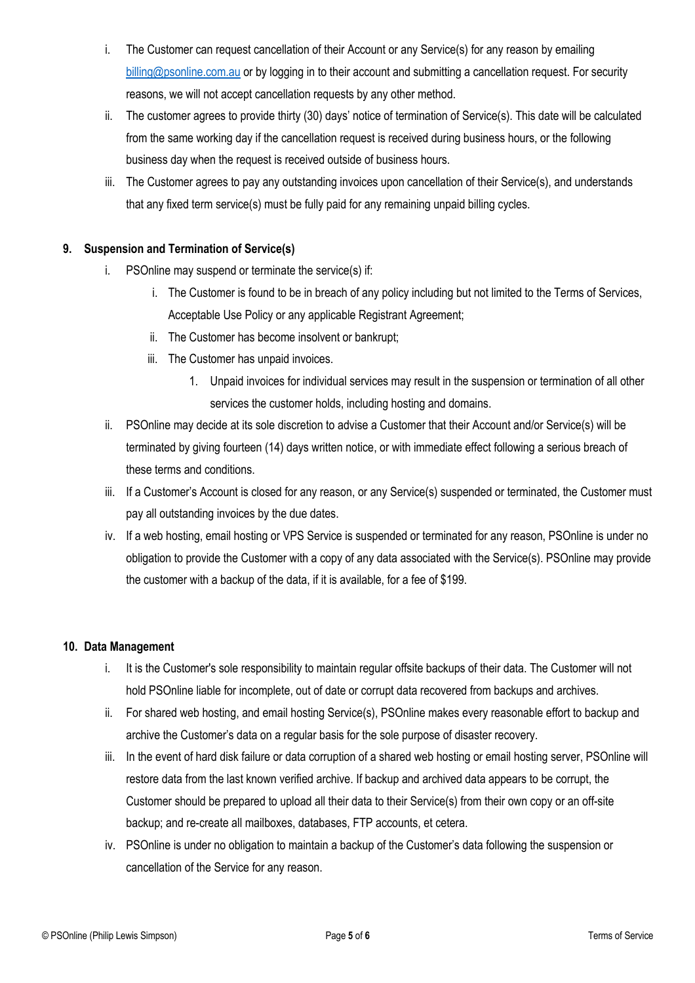- i. The Customer can request cancellation of their Account or any Service(s) for any reason by emailing billing@psonline.com.au or by logging in to their account and submitting a cancellation request. For security reasons, we will not accept cancellation requests by any other method.
- ii. The customer agrees to provide thirty (30) days' notice of termination of Service(s). This date will be calculated from the same working day if the cancellation request is received during business hours, or the following business day when the request is received outside of business hours.
- iii. The Customer agrees to pay any outstanding invoices upon cancellation of their Service(s), and understands that any fixed term service(s) must be fully paid for any remaining unpaid billing cycles.

## **9. Suspension and Termination of Service(s)**

- i. PSOnline may suspend or terminate the service(s) if:
	- i. The Customer is found to be in breach of any policy including but not limited to the Terms of Services, Acceptable Use Policy or any applicable Registrant Agreement;
	- ii. The Customer has become insolvent or bankrupt;
	- iii. The Customer has unpaid invoices.
		- 1. Unpaid invoices for individual services may result in the suspension or termination of all other services the customer holds, including hosting and domains.
- ii. PSOnline may decide at its sole discretion to advise a Customer that their Account and/or Service(s) will be terminated by giving fourteen (14) days written notice, or with immediate effect following a serious breach of these terms and conditions.
- iii. If a Customer's Account is closed for any reason, or any Service(s) suspended or terminated, the Customer must pay all outstanding invoices by the due dates.
- iv. If a web hosting, email hosting or VPS Service is suspended or terminated for any reason, PSOnline is under no obligation to provide the Customer with a copy of any data associated with the Service(s). PSOnline may provide the customer with a backup of the data, if it is available, for a fee of \$199.

## **10. Data Management**

- i. It is the Customer's sole responsibility to maintain regular offsite backups of their data. The Customer will not hold PSOnline liable for incomplete, out of date or corrupt data recovered from backups and archives.
- ii. For shared web hosting, and email hosting Service(s), PSOnline makes every reasonable effort to backup and archive the Customer's data on a regular basis for the sole purpose of disaster recovery.
- iii. In the event of hard disk failure or data corruption of a shared web hosting or email hosting server, PSOnline will restore data from the last known verified archive. If backup and archived data appears to be corrupt, the Customer should be prepared to upload all their data to their Service(s) from their own copy or an off-site backup; and re-create all mailboxes, databases, FTP accounts, et cetera.
- iv. PSOnline is under no obligation to maintain a backup of the Customer's data following the suspension or cancellation of the Service for any reason.